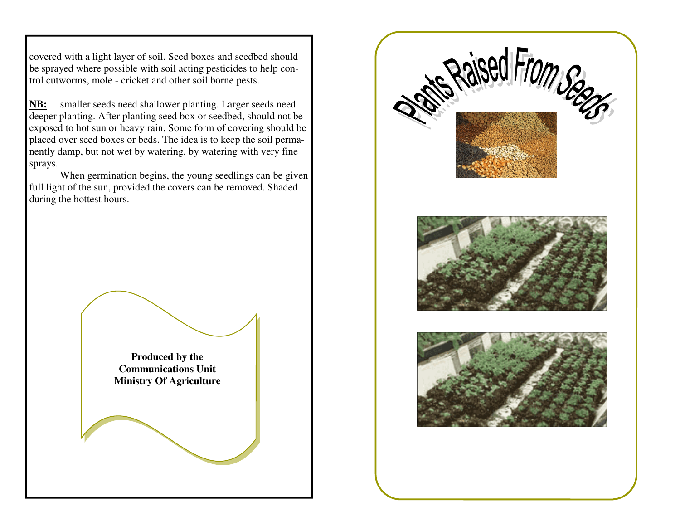covered with a light layer of soil. Seed boxes and seedbed should be sprayed where possible with soil acting pesticides to help control cutworms, mole - cricket and other soil borne pests.

**NB:** smaller seeds need shallower planting. Larger seeds need deeper planting. After planting seed box or seedbed, should not be exposed to hot sun or heavy rain. Some form of covering should be placed over seed boxes or beds. The idea is to keep the soil permanently damp, but not wet by watering, by watering with very fine sprays.

 When germination begins, the young seedlings can be given full light of the sun, provided the covers can be removed. Shaded during the hottest hours.